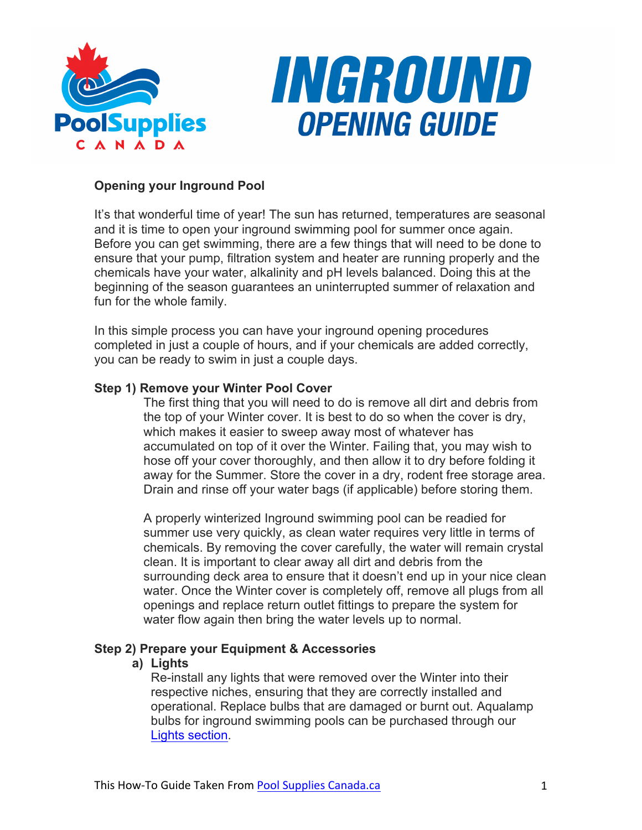



# **Opening your Inground Pool**

It's that wonderful time of year! The sun has returned, temperatures are seasonal and it is time to open your inground swimming pool for summer once again. Before you can get swimming, there are a few things that will need to be done to ensure that your pump, filtration system and heater are running properly and the chemicals have your water, alkalinity and pH levels balanced. Doing this at the beginning of the season guarantees an uninterrupted summer of relaxation and fun for the whole family.

In this simple process you can have your inground opening procedures completed in just a couple of hours, and if your chemicals are added correctly, you can be ready to swim in just a couple days.

### **Step 1) Remove your Winter Pool Cover**

The first thing that you will need to do is remove all dirt and debris from the top of your Winter cover. It is best to do so when the cover is dry, which makes it easier to sweep away most of whatever has accumulated on top of it over the Winter. Failing that, you may wish to hose off your cover thoroughly, and then allow it to dry before folding it away for the Summer. Store the cover in a dry, rodent free storage area. Drain and rinse off your water bags (if applicable) before storing them.

A properly winterized Inground swimming pool can be readied for summer use very quickly, as clean water requires very little in terms of chemicals. By removing the cover carefully, the water will remain crystal clean. It is important to clear away all dirt and debris from the surrounding deck area to ensure that it doesn't end up in your nice clean water. Once the Winter cover is completely off, remove all plugs from all openings and replace return outlet fittings to prepare the system for water flow again then bring the water levels up to normal.

### **Step 2) Prepare your Equipment & Accessories**

### **a) Lights**

Re-install any lights that were removed over the Winter into their respective niches, ensuring that they are correctly installed and operational. Replace bulbs that are damaged or burnt out. Aqualamp bulbs for inground swimming pools can be purchased through our Lights section.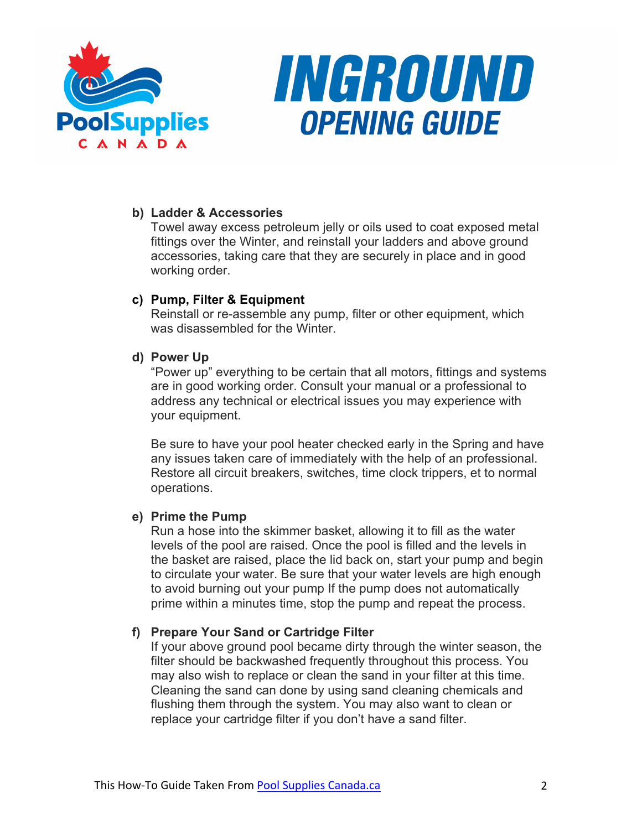



### **b) Ladder & Accessories**

Towel away excess petroleum jelly or oils used to coat exposed metal fittings over the Winter, and reinstall your ladders and above ground accessories, taking care that they are securely in place and in good working order.

# **c) Pump, Filter & Equipment**

Reinstall or re-assemble any pump, filter or other equipment, which was disassembled for the Winter

# **d) Power Up**

"Power up" everything to be certain that all motors, fittings and systems are in good working order. Consult your manual or a professional to address any technical or electrical issues you may experience with your equipment.

Be sure to have your pool heater checked early in the Spring and have any issues taken care of immediately with the help of an professional. Restore all circuit breakers, switches, time clock trippers, et to normal operations.

### **e) Prime the Pump**

Run a hose into the skimmer basket, allowing it to fill as the water levels of the pool are raised. Once the pool is filled and the levels in the basket are raised, place the lid back on, start your pump and begin to circulate your water. Be sure that your water levels are high enough to avoid burning out your pump If the pump does not automatically prime within a minutes time, stop the pump and repeat the process.

### **f) Prepare Your Sand or Cartridge Filter**

If your above ground pool became dirty through the winter season, the filter should be backwashed frequently throughout this process. You may also wish to replace or clean the sand in your filter at this time. Cleaning the sand can done by using sand cleaning chemicals and flushing them through the system. You may also want to clean or replace your cartridge filter if you don't have a sand filter.